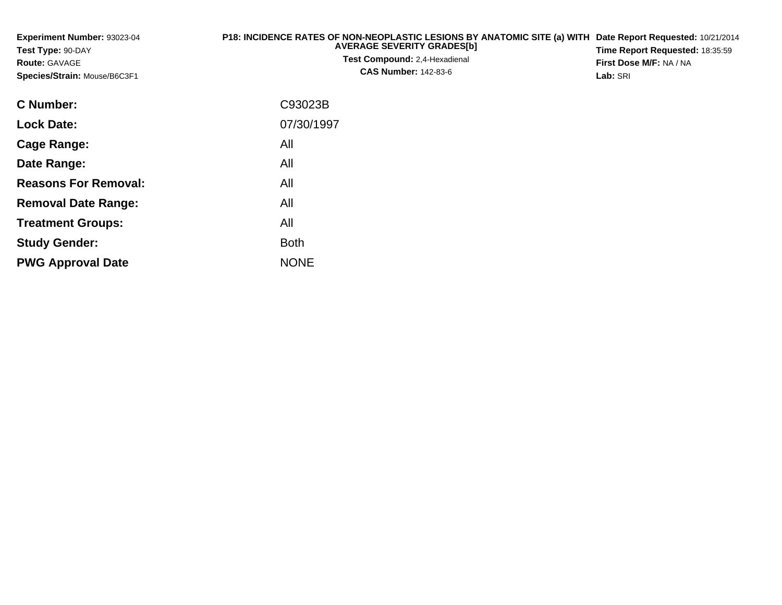| Experiment Number: 93023-04<br>Test Type: 90-DAY<br><b>Route: GAVAGE</b><br>Species/Strain: Mouse/B6C3F1 | P18: INCIDENCE RATES OF NON-NEOPLASTIC LESIONS BY ANATOMIC SITE (a) WITH<br><b>AVERAGE SEVERITY GRADES[b]</b><br><b>Test Compound: 2,4-Hexadienal</b><br><b>CAS Number: 142-83-6</b> | Date Report Requested: 10/21/2014<br>Time Report Requested: 18:35:59<br>First Dose M/F: NA / NA<br>Lab: SRI |
|----------------------------------------------------------------------------------------------------------|--------------------------------------------------------------------------------------------------------------------------------------------------------------------------------------|-------------------------------------------------------------------------------------------------------------|
| <b>C</b> Number:                                                                                         | C93023B                                                                                                                                                                              |                                                                                                             |
| <b>Lock Date:</b>                                                                                        | 07/30/1997                                                                                                                                                                           |                                                                                                             |
| Cage Range:                                                                                              | All                                                                                                                                                                                  |                                                                                                             |
| Date Range:                                                                                              | All                                                                                                                                                                                  |                                                                                                             |
| <b>Reasons For Removal:</b>                                                                              | All                                                                                                                                                                                  |                                                                                                             |
| <b>Removal Date Range:</b>                                                                               | All                                                                                                                                                                                  |                                                                                                             |
| <b>Treatment Groups:</b>                                                                                 | All                                                                                                                                                                                  |                                                                                                             |
| <b>Study Gender:</b>                                                                                     | <b>Both</b>                                                                                                                                                                          |                                                                                                             |

e NONE

**PWG Approval Date**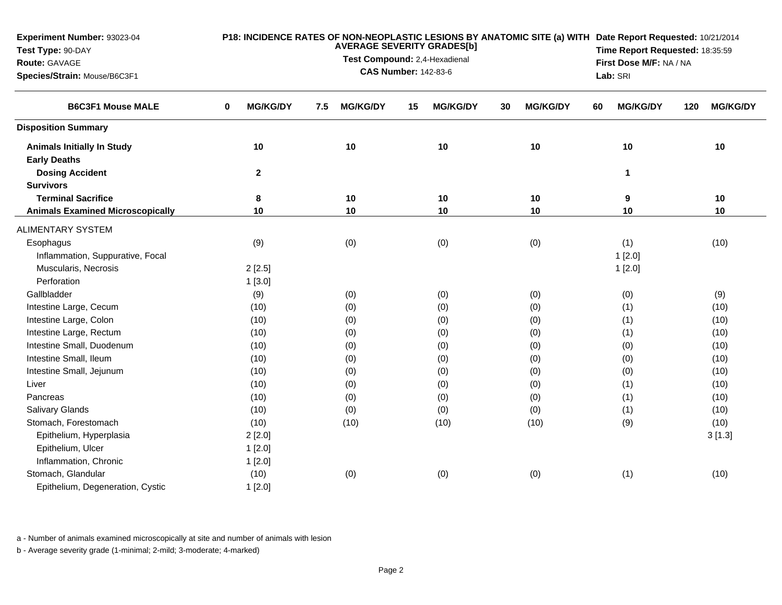| <b>Experiment Number: 93023-04</b><br>Test Type: 90-DAY<br>Route: GAVAGE<br>Species/Strain: Mouse/B6C3F1 | P18: INCIDENCE RATES OF NON-NEOPLASTIC LESIONS BY ANATOMIC SITE (a) WITH Date Report Requested: 10/21/2014<br><b>AVERAGE SEVERITY GRADES[b]</b><br>Time Report Requested: 18:35:59<br>Test Compound: 2,4-Hexadienal<br>First Dose M/F: NA / NA<br><b>CAS Number: 142-83-6</b><br>Lab: SRI |                        |                       |                       |                       |                        |  |  |  |
|----------------------------------------------------------------------------------------------------------|-------------------------------------------------------------------------------------------------------------------------------------------------------------------------------------------------------------------------------------------------------------------------------------------|------------------------|-----------------------|-----------------------|-----------------------|------------------------|--|--|--|
| <b>B6C3F1 Mouse MALE</b>                                                                                 | <b>MG/KG/DY</b><br>0                                                                                                                                                                                                                                                                      | <b>MG/KG/DY</b><br>7.5 | <b>MG/KG/DY</b><br>15 | <b>MG/KG/DY</b><br>30 | <b>MG/KG/DY</b><br>60 | <b>MG/KG/DY</b><br>120 |  |  |  |
| <b>Disposition Summary</b>                                                                               |                                                                                                                                                                                                                                                                                           |                        |                       |                       |                       |                        |  |  |  |
| <b>Animals Initially In Study</b><br><b>Early Deaths</b>                                                 | 10                                                                                                                                                                                                                                                                                        | 10                     | 10                    | 10                    | 10                    | 10                     |  |  |  |
| <b>Dosing Accident</b><br><b>Survivors</b>                                                               | $\mathbf 2$                                                                                                                                                                                                                                                                               |                        |                       |                       | $\mathbf{1}$          |                        |  |  |  |
| <b>Terminal Sacrifice</b>                                                                                | 8                                                                                                                                                                                                                                                                                         | 10                     | 10                    | 10                    | 9                     | 10                     |  |  |  |
| <b>Animals Examined Microscopically</b>                                                                  | 10                                                                                                                                                                                                                                                                                        | 10                     | 10                    | 10                    | 10                    | 10                     |  |  |  |
| <b>ALIMENTARY SYSTEM</b>                                                                                 |                                                                                                                                                                                                                                                                                           |                        |                       |                       |                       |                        |  |  |  |
| Esophagus                                                                                                | (9)                                                                                                                                                                                                                                                                                       | (0)                    | (0)                   | (0)                   | (1)                   | (10)                   |  |  |  |
| Inflammation, Suppurative, Focal                                                                         |                                                                                                                                                                                                                                                                                           |                        |                       |                       | 1[2.0]                |                        |  |  |  |
| Muscularis, Necrosis                                                                                     | 2[2.5]                                                                                                                                                                                                                                                                                    |                        |                       |                       | 1[2.0]                |                        |  |  |  |
| Perforation                                                                                              | 1[3.0]                                                                                                                                                                                                                                                                                    |                        |                       |                       |                       |                        |  |  |  |
| Gallbladder                                                                                              | (9)                                                                                                                                                                                                                                                                                       | (0)                    | (0)                   | (0)                   | (0)                   | (9)                    |  |  |  |
| Intestine Large, Cecum                                                                                   | (10)                                                                                                                                                                                                                                                                                      | (0)                    | (0)                   | (0)                   | (1)                   | (10)                   |  |  |  |
| Intestine Large, Colon                                                                                   | (10)                                                                                                                                                                                                                                                                                      | (0)                    | (0)                   | (0)                   | (1)                   | (10)                   |  |  |  |
| Intestine Large, Rectum                                                                                  | (10)                                                                                                                                                                                                                                                                                      | (0)                    | (0)                   | (0)                   | (1)                   | (10)                   |  |  |  |
| Intestine Small, Duodenum                                                                                | (10)                                                                                                                                                                                                                                                                                      | (0)                    | (0)                   | (0)                   | (0)                   | (10)                   |  |  |  |
| Intestine Small, Ileum                                                                                   | (10)                                                                                                                                                                                                                                                                                      | (0)                    | (0)                   | (0)                   | (0)                   | (10)                   |  |  |  |
| Intestine Small, Jejunum                                                                                 | (10)                                                                                                                                                                                                                                                                                      | (0)                    | (0)                   | (0)                   | (0)                   | (10)                   |  |  |  |
| Liver                                                                                                    | (10)                                                                                                                                                                                                                                                                                      | (0)                    | (0)                   | (0)                   | (1)                   | (10)                   |  |  |  |
| Pancreas                                                                                                 | (10)                                                                                                                                                                                                                                                                                      | (0)                    | (0)                   | (0)                   | (1)                   | (10)                   |  |  |  |
| <b>Salivary Glands</b>                                                                                   | (10)                                                                                                                                                                                                                                                                                      | (0)                    | (0)                   | (0)                   | (1)                   | (10)                   |  |  |  |
| Stomach, Forestomach                                                                                     | (10)                                                                                                                                                                                                                                                                                      | (10)                   | (10)                  | (10)                  | (9)                   | (10)                   |  |  |  |
| Epithelium, Hyperplasia                                                                                  | 2[2.0]                                                                                                                                                                                                                                                                                    |                        |                       |                       |                       | 3[1.3]                 |  |  |  |
| Epithelium, Ulcer                                                                                        | 1[2.0]                                                                                                                                                                                                                                                                                    |                        |                       |                       |                       |                        |  |  |  |
| Inflammation, Chronic                                                                                    | 1[2.0]                                                                                                                                                                                                                                                                                    |                        |                       |                       |                       |                        |  |  |  |
| Stomach, Glandular                                                                                       | (10)                                                                                                                                                                                                                                                                                      | (0)                    | (0)                   | (0)                   | (1)                   | (10)                   |  |  |  |
| Epithelium, Degeneration, Cystic                                                                         | 1[2.0]                                                                                                                                                                                                                                                                                    |                        |                       |                       |                       |                        |  |  |  |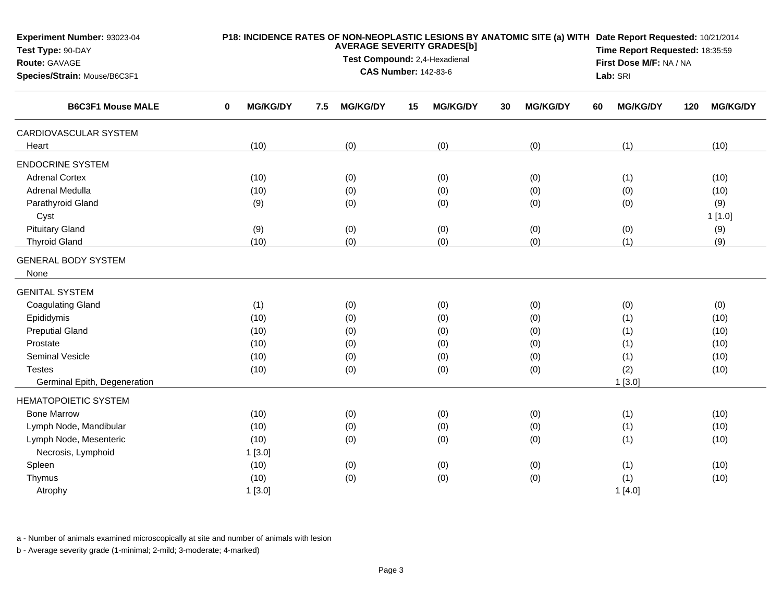| Experiment Number: 93023-04<br>Test Type: 90-DAY<br>Route: GAVAGE |                      | P18: INCIDENCE RATES OF NON-NEOPLASTIC LESIONS BY ANATOMIC SITE (a) WITH Date Report Requested: 10/21/2014<br><b>AVERAGE SEVERITY GRADES[b]</b><br>Test Compound: 2,4-Hexadienal<br><b>CAS Number: 142-83-6</b> |                 |    |                 |    |                 |    |                 |     | Time Report Requested: 18:35:59<br>First Dose M/F: NA / NA |  |  |  |
|-------------------------------------------------------------------|----------------------|-----------------------------------------------------------------------------------------------------------------------------------------------------------------------------------------------------------------|-----------------|----|-----------------|----|-----------------|----|-----------------|-----|------------------------------------------------------------|--|--|--|
| Species/Strain: Mouse/B6C3F1                                      |                      |                                                                                                                                                                                                                 |                 |    |                 |    |                 |    | Lab: SRI        |     |                                                            |  |  |  |
| <b>B6C3F1 Mouse MALE</b>                                          | <b>MG/KG/DY</b><br>0 | 7.5                                                                                                                                                                                                             | <b>MG/KG/DY</b> | 15 | <b>MG/KG/DY</b> | 30 | <b>MG/KG/DY</b> | 60 | <b>MG/KG/DY</b> | 120 | <b>MG/KG/DY</b>                                            |  |  |  |
| CARDIOVASCULAR SYSTEM                                             |                      |                                                                                                                                                                                                                 |                 |    |                 |    |                 |    |                 |     |                                                            |  |  |  |
| Heart                                                             | (10)                 |                                                                                                                                                                                                                 | (0)             |    | (0)             |    | (0)             |    | (1)             |     | (10)                                                       |  |  |  |
| <b>ENDOCRINE SYSTEM</b>                                           |                      |                                                                                                                                                                                                                 |                 |    |                 |    |                 |    |                 |     |                                                            |  |  |  |
| <b>Adrenal Cortex</b>                                             | (10)                 |                                                                                                                                                                                                                 | (0)             |    | (0)             |    | (0)             |    | (1)             |     | (10)                                                       |  |  |  |
| Adrenal Medulla                                                   | (10)                 |                                                                                                                                                                                                                 | (0)             |    | (0)             |    | (0)             |    | (0)             |     | (10)                                                       |  |  |  |
| Parathyroid Gland                                                 | (9)                  |                                                                                                                                                                                                                 | (0)             |    | (0)             |    | (0)             |    | (0)             |     | (9)                                                        |  |  |  |
| Cyst                                                              |                      |                                                                                                                                                                                                                 |                 |    |                 |    |                 |    |                 |     | 1[1.0]                                                     |  |  |  |
| <b>Pituitary Gland</b>                                            | (9)                  |                                                                                                                                                                                                                 | (0)             |    | (0)             |    | (0)             |    | (0)             |     | (9)                                                        |  |  |  |
| <b>Thyroid Gland</b>                                              | (10)                 |                                                                                                                                                                                                                 | (0)             |    | (0)             |    | (0)             |    | (1)             |     | (9)                                                        |  |  |  |
| <b>GENERAL BODY SYSTEM</b>                                        |                      |                                                                                                                                                                                                                 |                 |    |                 |    |                 |    |                 |     |                                                            |  |  |  |
| None                                                              |                      |                                                                                                                                                                                                                 |                 |    |                 |    |                 |    |                 |     |                                                            |  |  |  |
| <b>GENITAL SYSTEM</b>                                             |                      |                                                                                                                                                                                                                 |                 |    |                 |    |                 |    |                 |     |                                                            |  |  |  |
| <b>Coagulating Gland</b>                                          | (1)                  |                                                                                                                                                                                                                 | (0)             |    | (0)             |    | (0)             |    | (0)             |     | (0)                                                        |  |  |  |
| Epididymis                                                        | (10)                 |                                                                                                                                                                                                                 | (0)             |    | (0)             |    | (0)             |    | (1)             |     | (10)                                                       |  |  |  |
| <b>Preputial Gland</b>                                            | (10)                 |                                                                                                                                                                                                                 | (0)             |    | (0)             |    | (0)             |    | (1)             |     | (10)                                                       |  |  |  |
| Prostate                                                          | (10)                 |                                                                                                                                                                                                                 | (0)             |    | (0)             |    | (0)             |    | (1)             |     | (10)                                                       |  |  |  |
| <b>Seminal Vesicle</b>                                            | (10)                 |                                                                                                                                                                                                                 | (0)             |    | (0)             |    | (0)             |    | (1)             |     | (10)                                                       |  |  |  |
| <b>Testes</b>                                                     | (10)                 |                                                                                                                                                                                                                 | (0)             |    | (0)             |    | (0)             |    | (2)             |     | (10)                                                       |  |  |  |
| Germinal Epith, Degeneration                                      |                      |                                                                                                                                                                                                                 |                 |    |                 |    |                 |    | 1[3.0]          |     |                                                            |  |  |  |
| <b>HEMATOPOIETIC SYSTEM</b>                                       |                      |                                                                                                                                                                                                                 |                 |    |                 |    |                 |    |                 |     |                                                            |  |  |  |
| <b>Bone Marrow</b>                                                | (10)                 |                                                                                                                                                                                                                 | (0)             |    | (0)             |    | (0)             |    | (1)             |     | (10)                                                       |  |  |  |
| Lymph Node, Mandibular                                            | (10)                 |                                                                                                                                                                                                                 | (0)             |    | (0)             |    | (0)             |    | (1)             |     | (10)                                                       |  |  |  |
| Lymph Node, Mesenteric                                            | (10)                 |                                                                                                                                                                                                                 | (0)             |    | (0)             |    | (0)             |    | (1)             |     | (10)                                                       |  |  |  |
| Necrosis, Lymphoid                                                | 1[3.0]               |                                                                                                                                                                                                                 |                 |    |                 |    |                 |    |                 |     |                                                            |  |  |  |
| Spleen                                                            | (10)                 |                                                                                                                                                                                                                 | (0)             |    | (0)             |    | (0)             |    | (1)             |     | (10)                                                       |  |  |  |
| Thymus                                                            | (10)                 |                                                                                                                                                                                                                 | (0)             |    | (0)             |    | (0)             |    | (1)             |     | (10)                                                       |  |  |  |
| Atrophy                                                           | 1[3.0]               |                                                                                                                                                                                                                 |                 |    |                 |    |                 |    | 1[4.0]          |     |                                                            |  |  |  |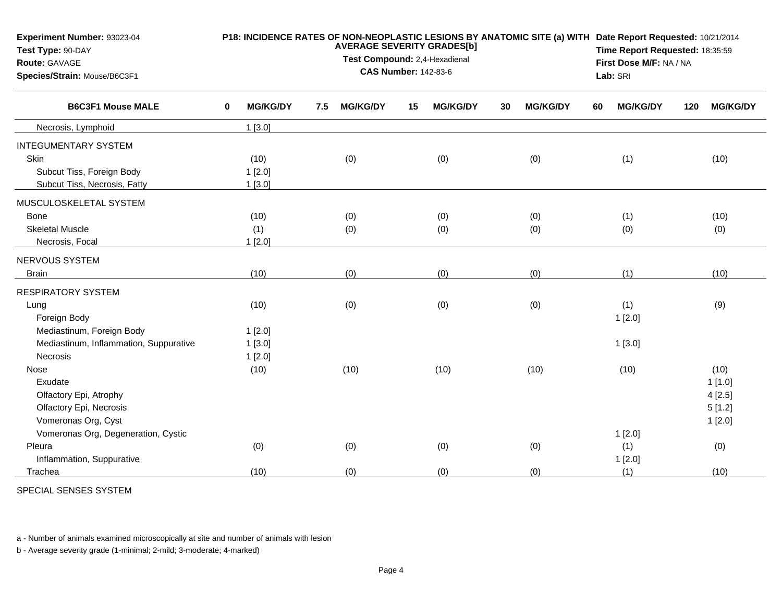| Experiment Number: 93023-04<br>Test Type: 90-DAY |   | P18: INCIDENCE RATES OF NON-NEOPLASTIC LESIONS BY ANATOMIC SITE (a) WITH Date Report Requested: 10/21/2014<br><b>AVERAGE SEVERITY GRADES[b]</b><br>Test Compound: 2,4-Hexadienal |     |                             |    |                 |    |                 |    |                 | Time Report Requested: 18:35:59<br>First Dose M/F: NA / NA |                 |  |  |
|--------------------------------------------------|---|----------------------------------------------------------------------------------------------------------------------------------------------------------------------------------|-----|-----------------------------|----|-----------------|----|-----------------|----|-----------------|------------------------------------------------------------|-----------------|--|--|
| <b>Route: GAVAGE</b>                             |   |                                                                                                                                                                                  |     |                             |    |                 |    |                 |    |                 |                                                            |                 |  |  |
| Species/Strain: Mouse/B6C3F1                     |   |                                                                                                                                                                                  |     | <b>CAS Number: 142-83-6</b> |    |                 |    |                 |    | Lab: SRI        |                                                            |                 |  |  |
| <b>B6C3F1 Mouse MALE</b>                         | 0 | <b>MG/KG/DY</b>                                                                                                                                                                  | 7.5 | <b>MG/KG/DY</b>             | 15 | <b>MG/KG/DY</b> | 30 | <b>MG/KG/DY</b> | 60 | <b>MG/KG/DY</b> | 120                                                        | <b>MG/KG/DY</b> |  |  |
| Necrosis, Lymphoid                               |   | 1[3.0]                                                                                                                                                                           |     |                             |    |                 |    |                 |    |                 |                                                            |                 |  |  |
| <b>INTEGUMENTARY SYSTEM</b>                      |   |                                                                                                                                                                                  |     |                             |    |                 |    |                 |    |                 |                                                            |                 |  |  |
| Skin                                             |   | (10)                                                                                                                                                                             |     | (0)                         |    | (0)             |    | (0)             |    | (1)             |                                                            | (10)            |  |  |
| Subcut Tiss, Foreign Body                        |   | 1[2.0]                                                                                                                                                                           |     |                             |    |                 |    |                 |    |                 |                                                            |                 |  |  |
| Subcut Tiss, Necrosis, Fatty                     |   | 1[3.0]                                                                                                                                                                           |     |                             |    |                 |    |                 |    |                 |                                                            |                 |  |  |
| MUSCULOSKELETAL SYSTEM                           |   |                                                                                                                                                                                  |     |                             |    |                 |    |                 |    |                 |                                                            |                 |  |  |
| <b>Bone</b>                                      |   | (10)                                                                                                                                                                             |     | (0)                         |    | (0)             |    | (0)             |    | (1)             |                                                            | (10)            |  |  |
| <b>Skeletal Muscle</b>                           |   | (1)                                                                                                                                                                              |     | (0)                         |    | (0)             |    | (0)             |    | (0)             |                                                            | (0)             |  |  |
| Necrosis, Focal                                  |   | 1[2.0]                                                                                                                                                                           |     |                             |    |                 |    |                 |    |                 |                                                            |                 |  |  |
| NERVOUS SYSTEM                                   |   |                                                                                                                                                                                  |     |                             |    |                 |    |                 |    |                 |                                                            |                 |  |  |
| <b>Brain</b>                                     |   | (10)                                                                                                                                                                             |     | (0)                         |    | (0)             |    | (0)             |    | (1)             |                                                            | (10)            |  |  |
| <b>RESPIRATORY SYSTEM</b>                        |   |                                                                                                                                                                                  |     |                             |    |                 |    |                 |    |                 |                                                            |                 |  |  |
| Lung                                             |   | (10)                                                                                                                                                                             |     | (0)                         |    | (0)             |    | (0)             |    | (1)             |                                                            | (9)             |  |  |
| Foreign Body                                     |   |                                                                                                                                                                                  |     |                             |    |                 |    |                 |    | 1[2.0]          |                                                            |                 |  |  |
| Mediastinum, Foreign Body                        |   | 1[2.0]                                                                                                                                                                           |     |                             |    |                 |    |                 |    |                 |                                                            |                 |  |  |
| Mediastinum, Inflammation, Suppurative           |   | 1[3.0]                                                                                                                                                                           |     |                             |    |                 |    |                 |    | 1[3.0]          |                                                            |                 |  |  |
| Necrosis                                         |   | 1[2.0]                                                                                                                                                                           |     |                             |    |                 |    |                 |    |                 |                                                            |                 |  |  |
| Nose                                             |   | (10)                                                                                                                                                                             |     | (10)                        |    | (10)            |    | (10)            |    | (10)            |                                                            | (10)            |  |  |
| Exudate                                          |   |                                                                                                                                                                                  |     |                             |    |                 |    |                 |    |                 |                                                            | 1[1.0]          |  |  |
| Olfactory Epi, Atrophy                           |   |                                                                                                                                                                                  |     |                             |    |                 |    |                 |    |                 |                                                            | 4[2.5]          |  |  |
| Olfactory Epi, Necrosis                          |   |                                                                                                                                                                                  |     |                             |    |                 |    |                 |    |                 |                                                            | 5[1.2]          |  |  |
| Vomeronas Org, Cyst                              |   |                                                                                                                                                                                  |     |                             |    |                 |    |                 |    |                 |                                                            | 1[2.0]          |  |  |
| Vomeronas Org, Degeneration, Cystic              |   |                                                                                                                                                                                  |     |                             |    |                 |    |                 |    | 1[2.0]          |                                                            |                 |  |  |
| Pleura                                           |   | (0)                                                                                                                                                                              |     | (0)                         |    | (0)             |    | (0)             |    | (1)             |                                                            | (0)             |  |  |
| Inflammation, Suppurative                        |   |                                                                                                                                                                                  |     |                             |    |                 |    |                 |    | 1[2.0]          |                                                            |                 |  |  |
| Trachea                                          |   | (10)                                                                                                                                                                             |     | (0)                         |    | (0)             |    | (0)             |    | (1)             |                                                            | (10)            |  |  |

SPECIAL SENSES SYSTEM

a - Number of animals examined microscopically at site and number of animals with lesion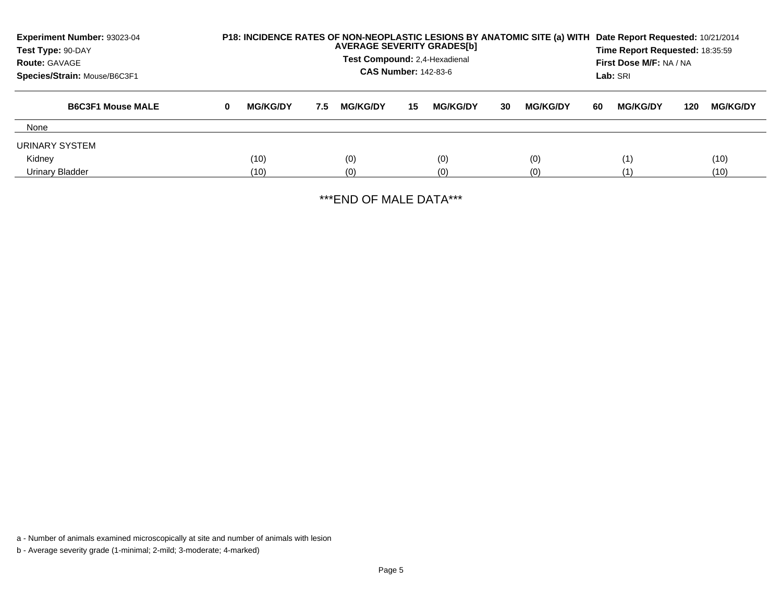| Experiment Number: 93023-04<br>Test Type: 90-DAY<br><b>Route: GAVAGE</b><br>Species/Strain: Mouse/B6C3F1 |   | P18: INCIDENCE RATES OF NON-NEOPLASTIC LESIONS BY ANATOMIC SITE (a) WITH<br><b>AVERAGE SEVERITY GRADES[b]</b><br>Test Compound: 2,4-Hexadienal<br><b>CAS Number: 142-83-6</b> |     |                 |     |                 |    |                 |    | Date Report Requested: 10/21/2014<br>Time Report Requested: 18:35:59<br>First Dose M/F: NA / NA<br>Lab: SRI |     |                 |
|----------------------------------------------------------------------------------------------------------|---|-------------------------------------------------------------------------------------------------------------------------------------------------------------------------------|-----|-----------------|-----|-----------------|----|-----------------|----|-------------------------------------------------------------------------------------------------------------|-----|-----------------|
| <b>B6C3F1 Mouse MALE</b>                                                                                 | 0 | <b>MG/KG/DY</b>                                                                                                                                                               | 7.5 | <b>MG/KG/DY</b> | -15 | <b>MG/KG/DY</b> | 30 | <b>MG/KG/DY</b> | 60 | <b>MG/KG/DY</b>                                                                                             | 120 | <b>MG/KG/DY</b> |
| None                                                                                                     |   |                                                                                                                                                                               |     |                 |     |                 |    |                 |    |                                                                                                             |     |                 |
| URINARY SYSTEM                                                                                           |   |                                                                                                                                                                               |     |                 |     |                 |    |                 |    |                                                                                                             |     |                 |
| Kidney                                                                                                   |   | (10)                                                                                                                                                                          |     | (0)             |     | (0)             |    | (0)             |    | (1)                                                                                                         |     | (10)            |
| Urinary Bladder                                                                                          |   | (10)                                                                                                                                                                          |     | (0)             |     | (0)             |    | (0)             |    |                                                                                                             |     | (10)            |

\*\*\*END OF MALE DATA\*\*\*

a - Number of animals examined microscopically at site and number of animals with lesion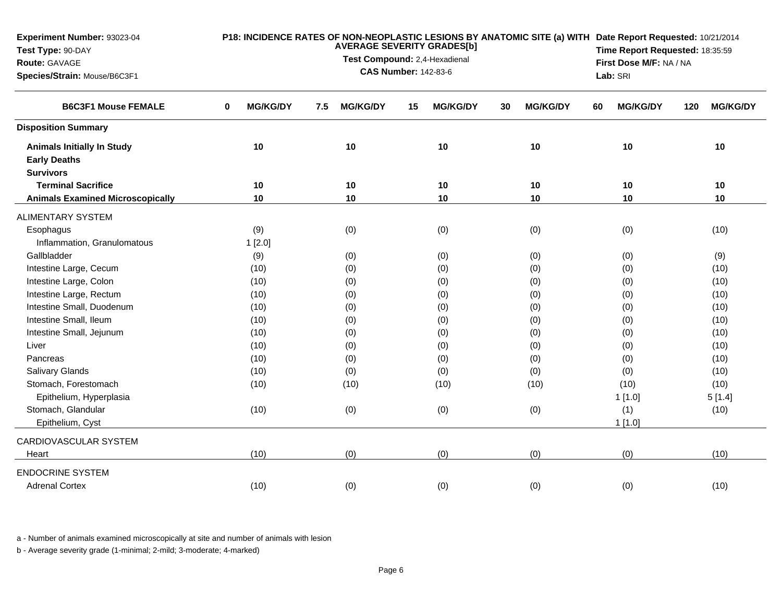| Experiment Number: 93023-04<br>Test Type: 90-DAY<br>Route: GAVAGE<br>Species/Strain: Mouse/B6C3F1 |                                | <b>AVERAGE SEVERITY GRADES[b]</b><br>Test Compound: 2,4-Hexadienal<br><b>CAS Number: 142-83-6</b> | Lab: SRI              | P18: INCIDENCE RATES OF NON-NEOPLASTIC LESIONS BY ANATOMIC SITE (a) WITH Date Report Requested: 10/21/2014<br>Time Report Requested: 18:35:59<br>First Dose M/F: NA / NA |                       |                        |  |
|---------------------------------------------------------------------------------------------------|--------------------------------|---------------------------------------------------------------------------------------------------|-----------------------|--------------------------------------------------------------------------------------------------------------------------------------------------------------------------|-----------------------|------------------------|--|
| <b>B6C3F1 Mouse FEMALE</b>                                                                        | <b>MG/KG/DY</b><br>$\mathbf 0$ | <b>MG/KG/DY</b><br>7.5                                                                            | <b>MG/KG/DY</b><br>15 | <b>MG/KG/DY</b><br>30                                                                                                                                                    | <b>MG/KG/DY</b><br>60 | <b>MG/KG/DY</b><br>120 |  |
| <b>Disposition Summary</b>                                                                        |                                |                                                                                                   |                       |                                                                                                                                                                          |                       |                        |  |
| <b>Animals Initially In Study</b><br><b>Early Deaths</b><br><b>Survivors</b>                      | 10                             | 10                                                                                                | 10                    | 10                                                                                                                                                                       | 10                    | 10                     |  |
| <b>Terminal Sacrifice</b>                                                                         | 10                             | 10                                                                                                | 10                    | 10                                                                                                                                                                       | 10                    | 10                     |  |
| <b>Animals Examined Microscopically</b>                                                           | 10                             | 10                                                                                                | 10                    | 10                                                                                                                                                                       | 10                    | 10                     |  |
| ALIMENTARY SYSTEM                                                                                 |                                |                                                                                                   |                       |                                                                                                                                                                          |                       |                        |  |
| Esophagus                                                                                         | (9)                            | (0)                                                                                               | (0)                   | (0)                                                                                                                                                                      | (0)                   | (10)                   |  |
| Inflammation, Granulomatous                                                                       | 1[2.0]                         |                                                                                                   |                       |                                                                                                                                                                          |                       |                        |  |
| Gallbladder                                                                                       | (9)                            | (0)                                                                                               | (0)                   | (0)                                                                                                                                                                      | (0)                   | (9)                    |  |
| Intestine Large, Cecum                                                                            | (10)                           | (0)                                                                                               | (0)                   | (0)                                                                                                                                                                      | (0)                   | (10)                   |  |
| Intestine Large, Colon                                                                            | (10)                           | (0)                                                                                               | (0)                   | (0)                                                                                                                                                                      | (0)                   | (10)                   |  |
| Intestine Large, Rectum                                                                           | (10)                           | (0)                                                                                               | (0)                   | (0)                                                                                                                                                                      | (0)                   | (10)                   |  |
| Intestine Small, Duodenum                                                                         | (10)                           | (0)                                                                                               | (0)                   | (0)                                                                                                                                                                      | (0)                   | (10)                   |  |
| Intestine Small, Ileum                                                                            | (10)                           | (0)                                                                                               | (0)                   | (0)                                                                                                                                                                      | (0)                   | (10)                   |  |
| Intestine Small, Jejunum                                                                          | (10)                           | (0)                                                                                               | (0)                   | (0)                                                                                                                                                                      | (0)                   | (10)                   |  |
| Liver                                                                                             | (10)                           | (0)                                                                                               | (0)                   | (0)                                                                                                                                                                      | (0)                   | (10)                   |  |
| Pancreas                                                                                          | (10)                           | (0)                                                                                               | (0)                   | (0)                                                                                                                                                                      | (0)                   | (10)                   |  |
| <b>Salivary Glands</b>                                                                            | (10)                           | (0)                                                                                               | (0)                   | (0)                                                                                                                                                                      | (0)                   | (10)                   |  |
| Stomach, Forestomach                                                                              | (10)                           | (10)                                                                                              | (10)                  | (10)                                                                                                                                                                     | (10)                  | (10)                   |  |
| Epithelium, Hyperplasia                                                                           |                                |                                                                                                   |                       |                                                                                                                                                                          | 1[1.0]                | 5[1.4]                 |  |
| Stomach, Glandular                                                                                | (10)                           | (0)                                                                                               | (0)                   | (0)                                                                                                                                                                      | (1)                   | (10)                   |  |
| Epithelium, Cyst                                                                                  |                                |                                                                                                   |                       |                                                                                                                                                                          | 1[1.0]                |                        |  |
| CARDIOVASCULAR SYSTEM                                                                             |                                |                                                                                                   |                       |                                                                                                                                                                          |                       |                        |  |
| Heart                                                                                             | (10)                           | (0)                                                                                               | (0)                   | (0)                                                                                                                                                                      | (0)                   | (10)                   |  |
| <b>ENDOCRINE SYSTEM</b><br><b>Adrenal Cortex</b>                                                  | (10)                           | (0)                                                                                               | (0)                   | (0)                                                                                                                                                                      | (0)                   | (10)                   |  |
|                                                                                                   |                                |                                                                                                   |                       |                                                                                                                                                                          |                       |                        |  |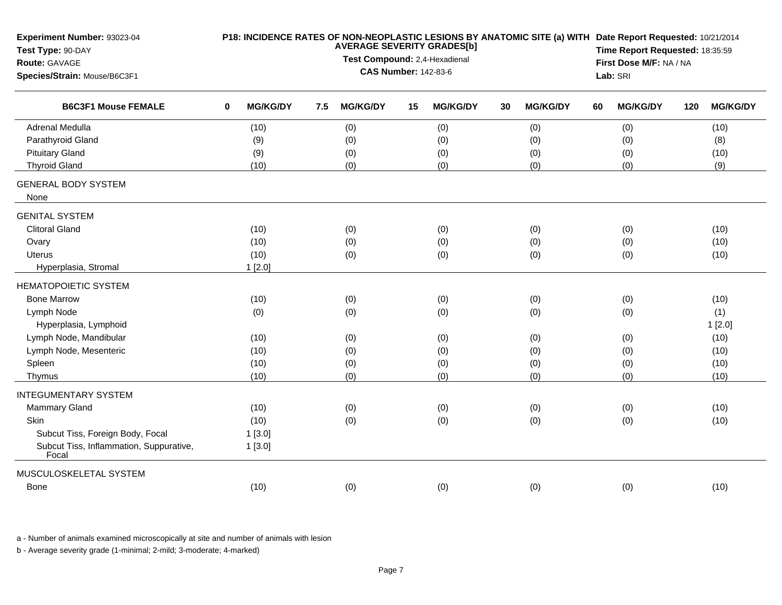| Experiment Number: 93023-04<br>Test Type: 90-DAY |                                                              |                 |     |                 | P18: INCIDENCE RATES OF NON-NEOPLASTIC LESIONS BY ANATOMIC SITE (a) WITH Date Report Requested: 10/21/2014<br>Time Report Requested: 18:35:59 |                 |    |                 |    |                 |     |                 |  |
|--------------------------------------------------|--------------------------------------------------------------|-----------------|-----|-----------------|-----------------------------------------------------------------------------------------------------------------------------------------------|-----------------|----|-----------------|----|-----------------|-----|-----------------|--|
| Route: GAVAGE                                    |                                                              |                 |     |                 | First Dose M/F: NA / NA                                                                                                                       |                 |    |                 |    |                 |     |                 |  |
| Species/Strain: Mouse/B6C3F1                     | Test Compound: 2,4-Hexadienal<br><b>CAS Number: 142-83-6</b> |                 |     |                 |                                                                                                                                               |                 |    |                 |    | Lab: SRI        |     |                 |  |
| <b>B6C3F1 Mouse FEMALE</b>                       | $\bf{0}$                                                     | <b>MG/KG/DY</b> | 7.5 | <b>MG/KG/DY</b> | 15                                                                                                                                            | <b>MG/KG/DY</b> | 30 | <b>MG/KG/DY</b> | 60 | <b>MG/KG/DY</b> | 120 | <b>MG/KG/DY</b> |  |
| <b>Adrenal Medulla</b>                           |                                                              | (10)            |     | (0)             |                                                                                                                                               | (0)             |    | (0)             |    | (0)             |     | (10)            |  |
| Parathyroid Gland                                |                                                              | (9)             |     | (0)             |                                                                                                                                               | (0)             |    | (0)             |    | (0)             |     | (8)             |  |
| <b>Pituitary Gland</b>                           |                                                              | (9)             |     | (0)             |                                                                                                                                               | (0)             |    | (0)             |    | (0)             |     | (10)            |  |
| <b>Thyroid Gland</b>                             |                                                              | (10)            |     | (0)             |                                                                                                                                               | (0)             |    | (0)             |    | (0)             |     | (9)             |  |
| <b>GENERAL BODY SYSTEM</b><br>None               |                                                              |                 |     |                 |                                                                                                                                               |                 |    |                 |    |                 |     |                 |  |
| <b>GENITAL SYSTEM</b>                            |                                                              |                 |     |                 |                                                                                                                                               |                 |    |                 |    |                 |     |                 |  |
| <b>Clitoral Gland</b>                            |                                                              | (10)            |     | (0)             |                                                                                                                                               | (0)             |    | (0)             |    | (0)             |     | (10)            |  |
| Ovary                                            |                                                              | (10)            |     | (0)             |                                                                                                                                               | (0)             |    | (0)             |    | (0)             |     | (10)            |  |
| Uterus                                           |                                                              | (10)            |     | (0)             |                                                                                                                                               | (0)             |    | (0)             |    | (0)             |     | (10)            |  |
| Hyperplasia, Stromal                             |                                                              | 1[2.0]          |     |                 |                                                                                                                                               |                 |    |                 |    |                 |     |                 |  |
| <b>HEMATOPOIETIC SYSTEM</b>                      |                                                              |                 |     |                 |                                                                                                                                               |                 |    |                 |    |                 |     |                 |  |
| <b>Bone Marrow</b>                               |                                                              | (10)            |     | (0)             |                                                                                                                                               | (0)             |    | (0)             |    | (0)             |     | (10)            |  |
| Lymph Node                                       |                                                              | (0)             |     | (0)             |                                                                                                                                               | (0)             |    | (0)             |    | (0)             |     | (1)             |  |
| Hyperplasia, Lymphoid                            |                                                              |                 |     |                 |                                                                                                                                               |                 |    |                 |    |                 |     | 1[2.0]          |  |
| Lymph Node, Mandibular                           |                                                              | (10)            |     | (0)             |                                                                                                                                               | (0)             |    | (0)             |    | (0)             |     | (10)            |  |
| Lymph Node, Mesenteric                           |                                                              | (10)            |     | (0)             |                                                                                                                                               | (0)             |    | (0)             |    | (0)             |     | (10)            |  |
| Spleen                                           |                                                              | (10)            |     | (0)             |                                                                                                                                               | (0)             |    | (0)             |    | (0)             |     | (10)            |  |
| Thymus                                           |                                                              | (10)            |     | (0)             |                                                                                                                                               | (0)             |    | (0)             |    | (0)             |     | (10)            |  |
| <b>INTEGUMENTARY SYSTEM</b>                      |                                                              |                 |     |                 |                                                                                                                                               |                 |    |                 |    |                 |     |                 |  |
| <b>Mammary Gland</b>                             |                                                              | (10)            |     | (0)             |                                                                                                                                               | (0)             |    | (0)             |    | (0)             |     | (10)            |  |
| Skin                                             |                                                              | (10)            |     | (0)             |                                                                                                                                               | (0)             |    | (0)             |    | (0)             |     | (10)            |  |
| Subcut Tiss, Foreign Body, Focal                 |                                                              | 1[3.0]          |     |                 |                                                                                                                                               |                 |    |                 |    |                 |     |                 |  |
| Subcut Tiss, Inflammation, Suppurative,<br>Focal |                                                              | 1[3.0]          |     |                 |                                                                                                                                               |                 |    |                 |    |                 |     |                 |  |
| MUSCULOSKELETAL SYSTEM                           |                                                              |                 |     |                 |                                                                                                                                               |                 |    |                 |    |                 |     |                 |  |
| Bone                                             |                                                              | (10)            |     | (0)             |                                                                                                                                               | (0)             |    | (0)             |    | (0)             |     | (10)            |  |